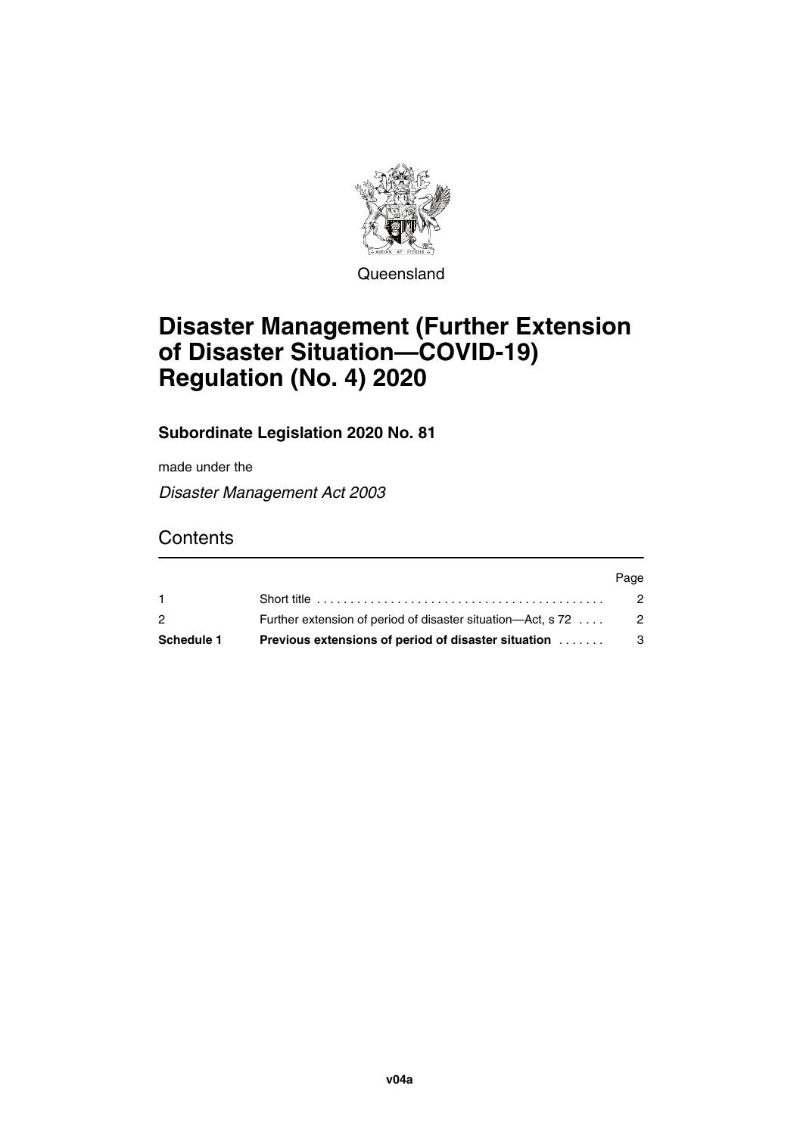

**Queensland** 

# **Disaster Management (Further Extension of Disaster Situation—COVID-19) Regulation (No. 4) 2020**

#### **Subordinate Legislation 2020 No. 81**

made under the

*Disaster Management Act 2003*

### **Contents**

| $\overline{2}$    | Further extension of period of disaster situation—Act, s 72 | $\overline{2}$ |
|-------------------|-------------------------------------------------------------|----------------|
| <b>Schedule 1</b> | <b>Previous extensions of period of disaster situation</b>  | - 3            |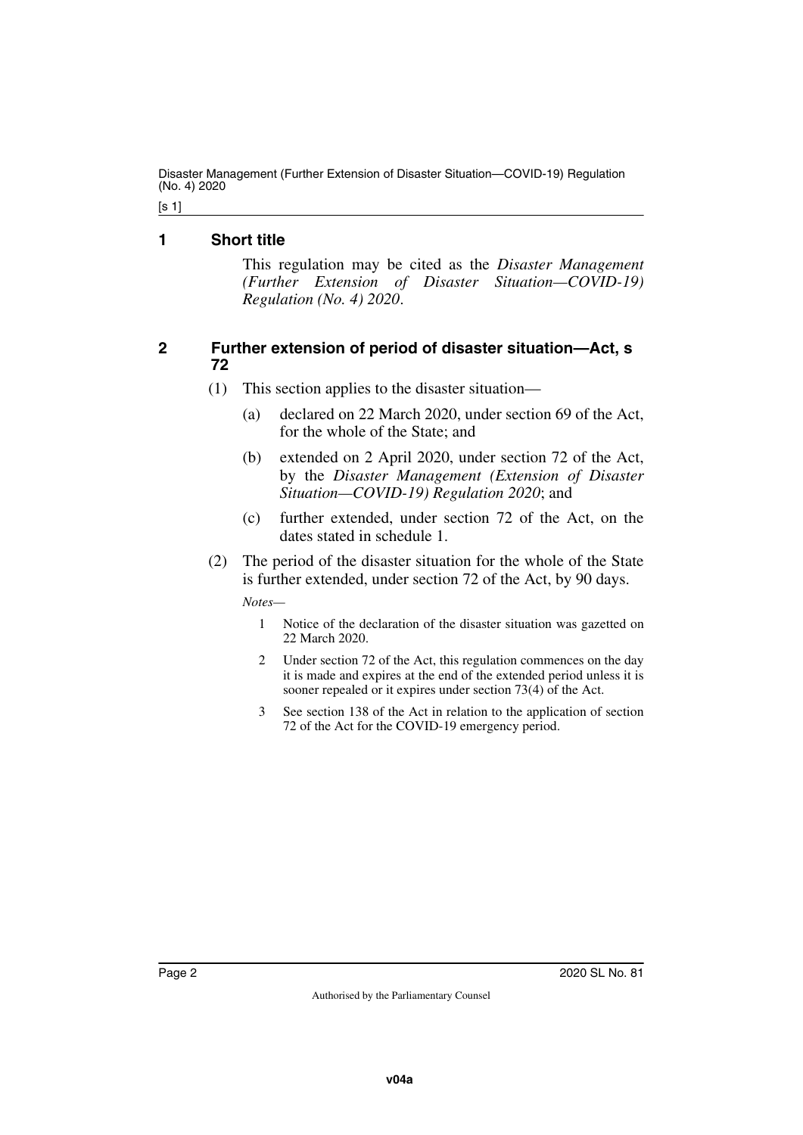Disaster Management (Further Extension of Disaster Situation—COVID-19) Regulation (No. 4) 2020

[s 1]

#### <span id="page-1-0"></span>**1 Short title**

<span id="page-1-1"></span>This regulation may be cited as the *Disaster Management (Further Extension of Disaster Situation—COVID-19) Regulation (No. 4) 2020*.

#### <span id="page-1-2"></span>**2 Further extension of period of disaster situation—Act, s 72**

- <span id="page-1-3"></span>(1) This section applies to the disaster situation—
	- (a) declared on 22 March 2020, under section 69 of the Act, for the whole of the State; and
	- (b) extended on 2 April 2020, under section 72 of the Act, by the *Disaster Management (Extension of Disaster Situation—COVID-19) Regulation 2020*; and
	- (c) further extended, under section 72 of the Act, on the dates stated in schedule 1.
- (2) The period of the disaster situation for the whole of the State is further extended, under section 72 of the Act, by 90 days.

*Notes—*

- 1 Notice of the declaration of the disaster situation was gazetted on 22 March 2020.
- 2 Under section 72 of the Act, this regulation commences on the day it is made and expires at the end of the extended period unless it is sooner repealed or it expires under section 73(4) of the Act.
- 3 See section 138 of the Act in relation to the application of section 72 of the Act for the COVID-19 emergency period.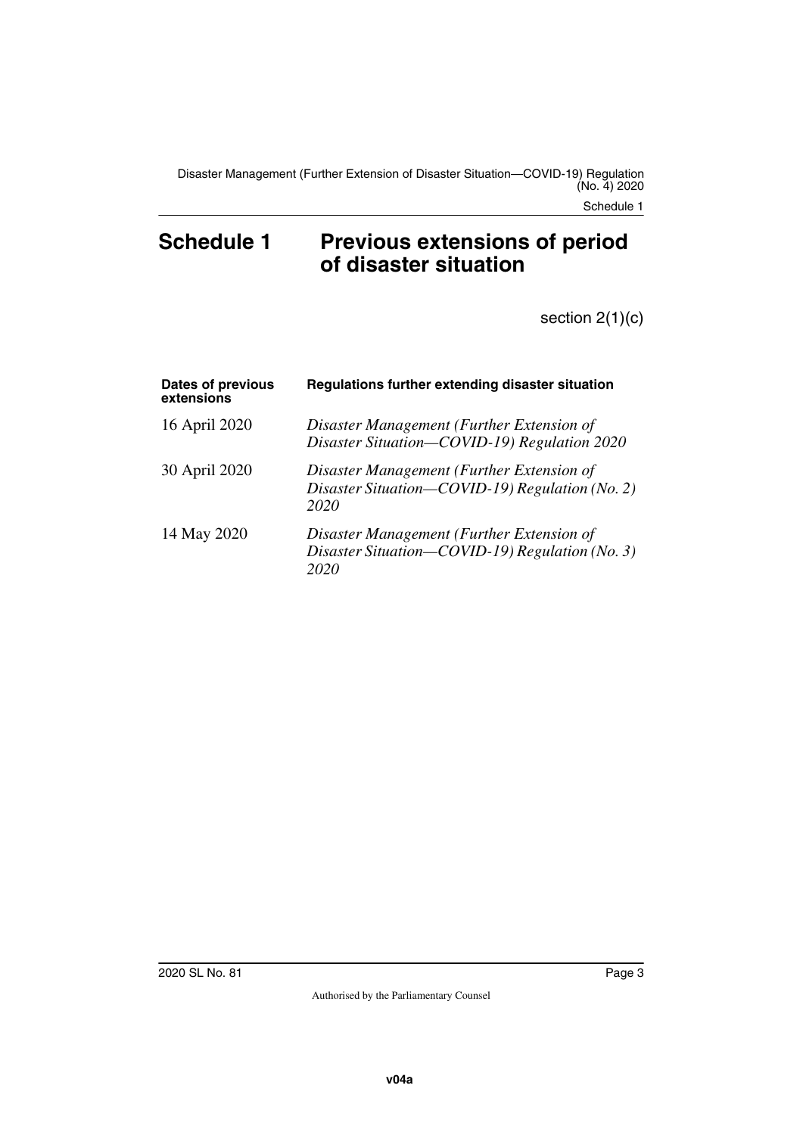## <span id="page-2-1"></span><span id="page-2-0"></span>Schedule 1 Previous extensions of period **of disaster situation**

section 2(1)(c)

| Dates of previous<br>extensions | Regulations further extending disaster situation                                                     |
|---------------------------------|------------------------------------------------------------------------------------------------------|
| 16 April 2020                   | Disaster Management (Further Extension of<br>Disaster Situation-COVID-19) Regulation 2020            |
| 30 April 2020                   | Disaster Management (Further Extension of<br>Disaster Situation-COVID-19) Regulation (No. 2)<br>2020 |
| 14 May 2020                     | Disaster Management (Further Extension of<br>Disaster Situation-COVID-19) Regulation (No. 3)<br>2020 |